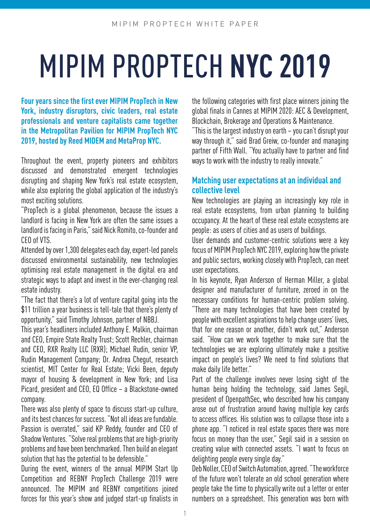# MIPIM PROPTECH **NYC 2019**

**Four years since the first ever MIPIM PropTech in New York, industry disruptors, civic leaders, real estate professionals and venture capitalists came together in the Metropolitan Pavilion for MIPIM PropTech NYC 2019, hosted by Reed MIDEM and MetaProp NYC.**

Throughout the event, property pioneers and exhibitors discussed and demonstrated emergent technologies disrupting and shaping New York's real estate ecosystem, while also exploring the global application of the industry's most exciting solutions.

"PropTech is a global phenomenon, because the issues a landlord is facing in New York are often the same issues a landlord is facing in Paris," said Nick Romito, co-founder and CEO of VTS.

Attended by over 1,300 delegates each day, expert-led panels discussed environmental sustainability, new technologies optimising real estate management in the digital era and strategic ways to adapt and invest in the ever-changing real estate industry.

"The fact that there's a lot of venture capital going into the \$11 trillion a year business is tell-tale that there's plenty of opportunity," said Timothy Johnson, partner of NBBJ.

This year's headliners included Anthony E. Malkin, chairman and CEO, Empire State Realty Trust; Scott Rechler, chairman and CEO, RXR Realty LLC (RXR); Michael Rudin, senior VP, Rudin Management Company; Dr. Andrea Chegut, research scientist, MIT Center for Real Estate; Vicki Been, deputy mayor of housing & development in New York; and Lisa Picard, president and CEO, EQ Office – a Blackstone-owned company.

There was also plenty of space to discuss start-up culture, and its best chances for success. "Not all ideas are fundable. Passion is overrated," said KP Reddy, founder and CEO of Shadow Ventures. "Solve real problems that are high-priority problems and have been benchmarked. Then build an elegant solution that has the potential to be defensible."

During the event, winners of the annual MIPIM Start Up Competition and REBNY PropTech Challenge 2019 were announced. The MIPIM and REBNY competitions joined forces for this year's show and judged start-up finalists in

the following categories with first place winners joining the global finals in Cannes at MIPIM 2020: AEC & Development, Blockchain, Brokerage and Operations & Maintenance.

"This is the largest industry on earth – you can't disrupt your way through it," said Brad Greiw, co-founder and managing partner of Fifth Wall. "You actually have to partner and find ways to work with the industry to really innovate."

### **Matching user expectations at an individual and collective level**

New technologies are playing an increasingly key role in real estate ecosystems, from urban planning to building occupancy. At the heart of these real estate ecosystems are people: as users of cities and as users of buildings.

User demands and customer-centric solutions were a key focus of MIPIM PropTech NYC 2019, exploring how the private and public sectors, working closely with PropTech, can meet user expectations.

In his keynote, Ryan Anderson of Herman Miller, a global designer and manufacturer of furniture, zeroed in on the necessary conditions for human-centric problem solving. "There are many technologies that have been created by people with excellent aspirations to help change users' lives, that for one reason or another, didn't work out," Anderson said. "How can we work together to make sure that the technologies we are exploring ultimately make a positive impact on people's lives? We need to find solutions that make daily life better."

Part of the challenge involves never losing sight of the human being holding the technology, said James Segil, president of OpenpathSec, who described how his company arose out of frustration around having multiple key cards to access offices. His solution was to collapse those into a phone app. "I noticed in real estate spaces there was more focus on money than the user," Segil said in a session on creating value with connected assets. "I want to focus on delighting people every single day."

Deb Noller, CEO of Switch Automation, agreed. "The workforce of the future won't tolerate an old school generation where people take the time to physically write out a letter or enter numbers on a spreadsheet. This generation was born with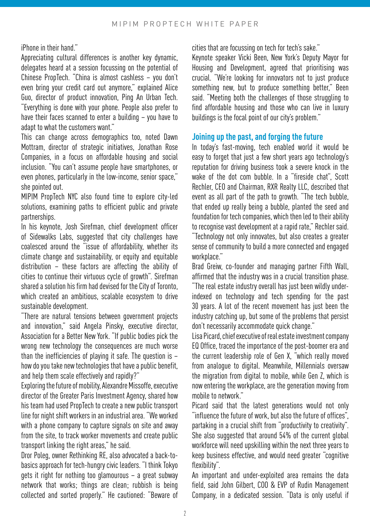iPhone in their hand."

Appreciating cultural differences is another key dynamic, delegates heard at a session focussing on the potential of Chinese PropTech. "China is almost cashless – you don't even bring your credit card out anymore," explained Alice Guo, director of product innovation, Ping An Urban Tech. "Everything is done with your phone. People also prefer to have their faces scanned to enter a building – you have to adapt to what the customers want."

This can change across demographics too, noted Dawn Mottram, director of strategic initiatives, Jonathan Rose Companies, in a focus on affordable housing and social inclusion. "You can't assume people have smartphones, or even phones, particularly in the low-income, senior space," she pointed out.

MIPIM PropTech NYC also found time to explore city-led solutions, examining paths to efficient public and private partnerships.

In his keynote, Josh Sirefman, chief development officer of Sidewalks Labs, suggested that city challenges have coalesced around the "issue of affordability, whether its climate change and sustainability, or equity and equitable distribution – these factors are affecting the ability of cities to continue their virtuous cycle of growth". Sirefman shared a solution his firm had devised for the City of Toronto, which created an ambitious, scalable ecosystem to drive sustainable development.

"There are natural tensions between government projects and innovation," said Angela Pinsky, executive director, Association for a Better New York. "If public bodies pick the wrong new technology the consequences are much worse than the inefficiencies of playing it safe. The question is – how do you take new technologies that have a public benefit, and help them scale effectively and rapidly?"

Exploring the future of mobility, Alexandre Missoffe, executive director of the Greater Paris Investment Agency, shared how his team had used PropTech to create a new public transport line for night shift workers in an industrial area. "We worked with a phone company to capture signals on site and away from the site, to track worker movements and create public transport linking the right areas," he said.

Dror Poleg, owner Rethinking RE, also advocated a back-tobasics approach for tech-hungry civic leaders. "I think Tokyo gets it right for nothing too glamourous – a great subway network that works; things are clean; rubbish is being collected and sorted properly." He cautioned: "Beware of cities that are focussing on tech for tech's sake."

Keynote speaker Vicki Been, New York's Deputy Mayor for Housing and Development, agreed that prioritising was crucial. "We're looking for innovators not to just produce something new, but to produce something better," Been said. "Meeting both the challenges of those struggling to find affordable housing and those who can live in luxury buildings is the focal point of our city's problem."

#### **Joining up the past, and forging the future**

In today's fast-moving, tech enabled world it would be easy to forget that just a few short years ago technology's reputation for driving business took a severe knock in the wake of the dot com bubble. In a "fireside chat", Scott Rechler, CEO and Chairman, RXR Realty LLC, described that event as all part of the path to growth. "The tech bubble, that ended up really being a bubble, planted the seed and foundation for tech companies, which then led to their ability to recognise vast development at a rapid rate," Rechler said. "Technology not only innovates, but also creates a greater sense of community to build a more connected and engaged workplace."

Brad Greiw, co-founder and managing partner Fifth Wall, affirmed that the industry was in a crucial transition phase. "The real estate industry overall has just been wildly underindexed on technology and tech spending for the past 30 years. A lot of the recent movement has just been the industry catching up, but some of the problems that persist don't necessarily accommodate quick change."

Lisa Picard, chief executive of real estate investment company EQ Office, traced the importance of the post-boomer era and the current leadership role of Gen X, "which really moved from analogue to digital. Meanwhile, Millennials oversaw the migration from digital to mobile, while Gen Z, which is now entering the workplace, are the generation moving from mobile to network."

Picard said that the latest generations would not only "influence the future of work, but also the future of offices", partaking in a crucial shift from "productivity to creativity". She also suggested that around 54% of the current global workforce will need upskilling within the next three years to keep business effective, and would need greater "cognitive flexibility".

An important and under-exploited area remains the data field, said John Gilbert, COO & EVP of Rudin Management Company, in a dedicated session. "Data is only useful if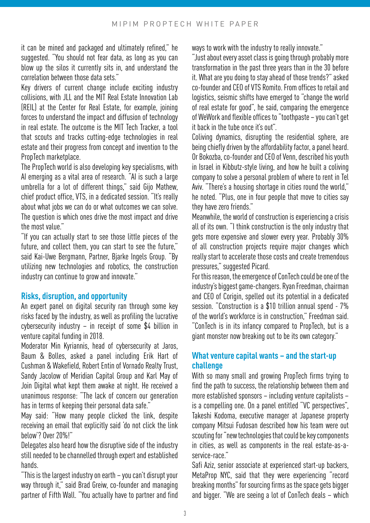it can be mined and packaged and ultimately refined," he suggested. "You should not fear data, as long as you can blow up the silos it currently sits in, and understand the correlation between those data sets."

Key drivers of current change include exciting industry collisions, with JLL and the MIT Real Estate Innovation Lab (REIL) at the Center for Real Estate, for example, joining forces to understand the impact and diffusion of technology in real estate. The outcome is the MIT Tech Tracker, a tool that scouts and tracks cutting-edge technologies in real estate and their progress from concept and invention to the PropTech marketplace.

The PropTech world is also developing key specialisms, with AI emerging as a vital area of research. "AI is such a large umbrella for a lot of different things," said Gijo Mathew, chief product office, VTS, in a dedicated session. "It's really about what jobs we can do or what outcomes we can solve. The question is which ones drive the most impact and drive the most value."

"If you can actually start to see those little pieces of the future, and collect them, you can start to see the future," said Kai-Uwe Bergmann, Partner, Bjarke Ingels Group. "By utilizing new technologies and robotics, the construction industry can continue to grow and innovate."

# **Risks, disruption, and opportunity**

An expert panel on digital security ran through some key risks faced by the industry, as well as profiling the lucrative cybersecurity industry – in receipt of some \$4 billion in venture capital funding in 2018.

Moderator Min Kyriannis, head of cybersecurity at Jaros, Baum & Bolles, asked a panel including Erik Hart of Cushman & Wakefield, Robert Entin of Vornado Realty Trust, Sandy Jacolow of Meridian Capital Group and Karl May of Join Digital what kept them awake at night. He received a unanimous response: "The lack of concern our generation has in terms of keeping their personal data safe."

May said: "How many people clicked the link, despite receiving an email that explicitly said 'do not click the link below'? Over 20%!"

Delegates also heard how the disruptive side of the industry still needed to be channelled through expert and established hands.

"This is the largest industry on earth – you can't disrupt your way through it," said Brad Greiw, co-founder and managing partner of Fifth Wall. "You actually have to partner and find ways to work with the industry to really innovate."

"Just about every asset class is going through probably more transformation in the past three years than in the 30 before it. What are you doing to stay ahead of those trends?" asked co-founder and CEO of VTS Romito. From offices to retail and logistics, seismic shifts have emerged to "change the world of real estate for good", he said, comparing the emergence of WeWork and flexible offices to "toothpaste – you can't get it back in the tube once it's out".

Coliving dynamics, disrupting the residential sphere, are being chiefly driven by the affordability factor, a panel heard. Or Bokozba, co-founder and CEO of Venn, described his youth in Israel in Kibbutz-style living, and how he built a coliving company to solve a personal problem of where to rent in Tel Aviv. "There's a housing shortage in cities round the world," he noted. "Plus, one in four people that move to cities say they have zero friends."

Meanwhile, the world of construction is experiencing a crisis all of its own. "I think construction is the only industry that gets more expensive and slower every year. Probably 30% of all construction projects require major changes which really start to accelerate those costs and create tremendous pressures," suggested Picard.

For this reason, the emergence of ConTech could be one of the industry's biggest game-changers. Ryan Freedman, chairman and CEO of Corigin, spelled out its potential in a dedicated session. "Construction is a \$10 trillion annual spend - 7% of the world's workforce is in construction," Freedman said. "ConTech is in its infancy compared to PropTech, but is a giant monster now breaking out to be its own category."

# **What venture capital wants – and the start-up challenge**

With so many small and growing PropTech firms trying to find the path to success, the relationship between them and more established sponsors – including venture capitalists – is a compelling one. On a panel entitled "VC perspectives", Takeshi Kodoma, executive manager at Japanese property company Mitsui Fudosan described how his team were out scouting for "new technologies that could be key components in cities, as well as components in the real estate-as-aservice-race."

Safi Aziz, senior associate at experienced start-up backers, MetaProp NYC, said that they were experiencing "record breaking months" for sourcing firms as the space gets bigger and bigger. "We are seeing a lot of ConTech deals – which